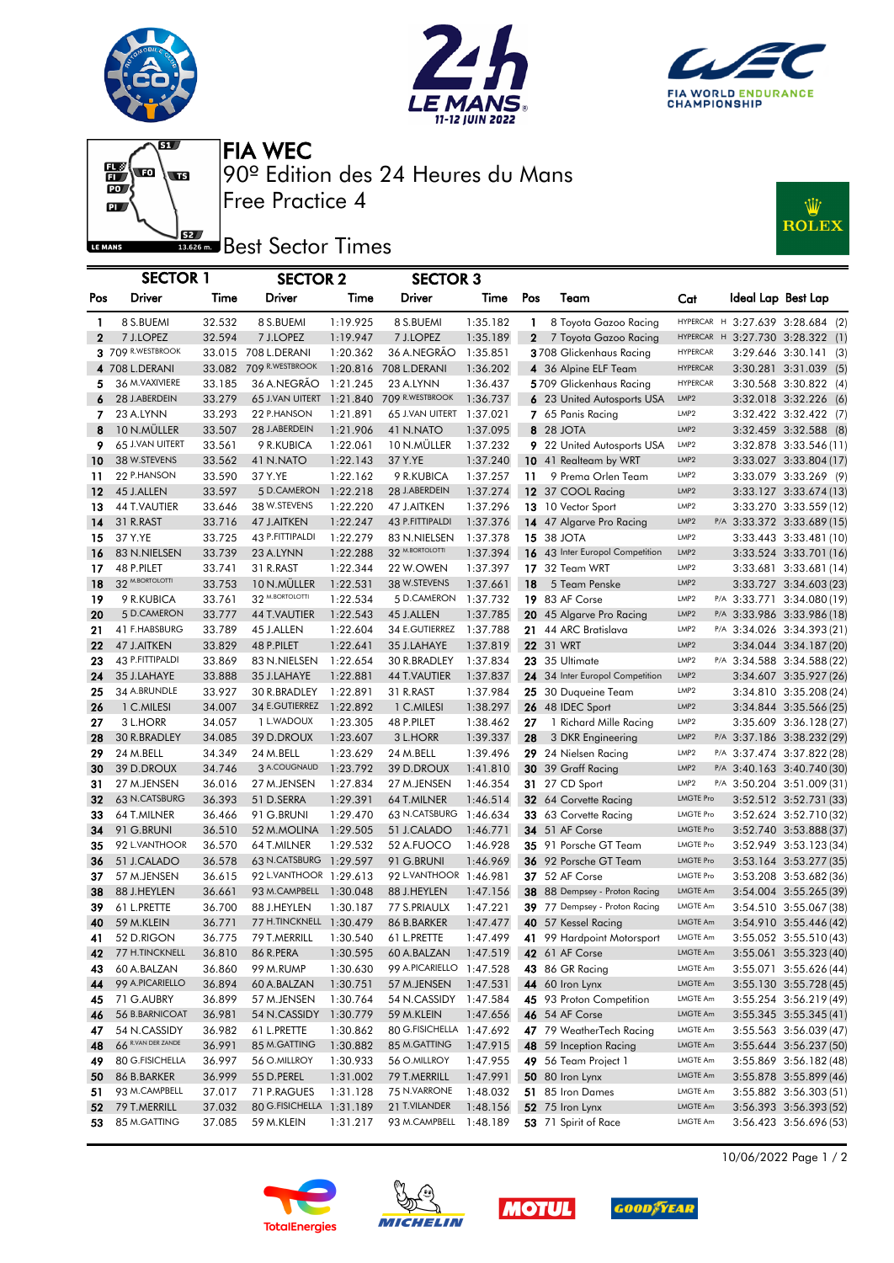







Free Practice 4 90º Edition des 24 Heures du Mans FIA WEC

## **J**BU Best Sector Times



|              | <b>SECTOR 1</b><br><b>SECTOR 2</b><br><b>SECTOR 3</b> |                  |                          |                      |                          |                      |              |                                           |                                      |                    |                                                          |
|--------------|-------------------------------------------------------|------------------|--------------------------|----------------------|--------------------------|----------------------|--------------|-------------------------------------------|--------------------------------------|--------------------|----------------------------------------------------------|
|              |                                                       |                  |                          |                      |                          |                      |              |                                           |                                      |                    |                                                          |
| Pos          | <b>Driver</b>                                         | Time             | <b>Driver</b>            | Time                 | Driver                   | Time                 | Pos          | Team                                      | Cat                                  | Ideal Lap Best Lap |                                                          |
| 1            | 8 S.BUEMI                                             | 32.532           | 8 S.BUEMI                | 1:19.925             | 8 S.BUEMI                | 1:35.182             | $\mathbf{1}$ | 8 Toyota Gazoo Racing                     |                                      |                    | HYPERCAR H 3:27.639 3:28.684 (2)                         |
| $\mathbf{2}$ | 7 J.LOPEZ                                             | 32.594           | 7 J.LOPEZ                | 1:19.947             | 7 J.LOPEZ                | 1:35.189             | $\mathbf{2}$ | 7 Toyota Gazoo Racing                     |                                      |                    | HYPERCAR H 3:27.730 3:28.322 (1)                         |
|              | 3 709 R.WESTBROOK                                     |                  | 33.015 708 L.DERANI      | 1:20.362             | 36 A.NEGRÃO              | 1:35.851             |              | 3708 Glickenhaus Racing                   | <b>HYPERCAR</b>                      |                    | 3:29.646 3:30.141 (3)                                    |
|              | 4 708 L.DERANI                                        | 33.082           | 709 R.WESTBROOK          | 1:20.816             | 708 L.DERANI             | 1:36.202             |              | 4 36 Alpine ELF Team                      | <b>HYPERCAR</b>                      |                    | 3:30.281 3:31.039 (5)                                    |
| 5            | 36 M. VAXIVIERE                                       | 33.185           | 36 A.NEGRÃO              | 1:21.245             | 23 A.LYNN                | 1:36.437             |              | 5709 Glickenhaus Racing                   | <b>HYPERCAR</b>                      |                    | 3:30.568 3:30.822 (4)                                    |
| 6            | 28 J.ABERDEIN                                         | 33.279           | 65 J.VAN UITERT          | 1:21.840             | 709 R.WESTBROOK          | 1:36.737             |              | 6 23 United Autosports USA                | LMP <sub>2</sub>                     |                    | 3:32.018 3:32.226 (6)                                    |
| 7            | 23 A.LYNN                                             | 33.293           | 22 P.HANSON              | 1:21.891             | 65 J.VAN UITERT          | 1:37.021             |              | 7 65 Panis Racing                         | LMP <sub>2</sub>                     |                    | 3:32.422 3:32.422 (7)                                    |
| 8            | 10 N.MÜLLER                                           | 33.507           | 28 J.ABERDEIN            | 1:21.906             | 41 N.NATO                | 1:37.095             |              | 8 28 JOTA                                 | LMP <sub>2</sub>                     |                    | 3:32.459 3:32.588 (8)                                    |
| 9            | 65 J.VAN UITERT                                       | 33.561           | 9 R.KUBICA               | 1:22.061             | 10 N.MULLER              | 1:37.232             |              | 9 22 United Autosports USA                | LMP <sub>2</sub>                     |                    | 3:32.878 3:33.546 (11)                                   |
| 10           | 38 W.STEVENS                                          | 33.562           | 41 N.NATO                | 1:22.143             | 37 Y.YE                  | 1:37.240             |              | 10 41 Realteam by WRT                     | LMP <sub>2</sub>                     |                    | 3:33.027 3:33.804 (17)                                   |
| 11           | 22 P.HANSON                                           | 33.590           | 37 Y.YE                  | 1:22.162             | 9 R.KUBICA               | 1:37.257             | 11           | 9 Prema Orlen Team                        | LMP <sub>2</sub>                     |                    | 3:33.079 3:33.269 (9)                                    |
| 12           | 45 J.ALLEN                                            | 33.597           | 5 D.CAMERON              | 1:22.218             | 28 J.ABERDEIN            | 1:37.274             |              | 12 37 COOL Racing                         | LMP <sub>2</sub>                     |                    | 3:33.127 3:33.674 (13)                                   |
| 13           | 44 T.VAUTIER                                          | 33.646           | 38 W.STEVENS             | 1:22.220             | 47 J.AITKEN              | 1:37.296             |              | 13 10 Vector Sport                        | LMP <sub>2</sub>                     |                    | 3:33.270 3:33.559 (12)                                   |
| 14           | 31 R.RAST                                             | 33.716           | 47 J.AITKEN              | 1:22.247             | 43 P.FITTIPALDI          | 1:37.376             |              | 14 47 Algarve Pro Racing                  | LMP2                                 |                    | P/A 3:33.372 3:33.689 (15)                               |
| 15           | 37 Y.YE                                               | 33.725           | 43 P.FITTIPALDI          | 1:22.279             | 83 N.NIELSEN             | 1:37.378             |              | <b>15 38 JOTA</b>                         | LMP <sub>2</sub>                     |                    | 3:33.443 3:33.481 (10)                                   |
| 16           | 83 N.NIELSEN                                          | 33.739           | 23 A.LYNN                | 1:22.288             | 32 M.BORTOLOTTI          | 1:37.394             |              | 16 43 Inter Europol Competition           | LMP <sub>2</sub>                     |                    | 3:33.524 3:33.701 (16)                                   |
| 17           | 48 P.PILET                                            | 33.741           | 31 R.RAST                | 1:22.344             | 22 W.OWEN                | 1:37.397             |              | 17 32 Team WRT                            | LMP <sub>2</sub>                     |                    | 3:33.681 3:33.681 (14)                                   |
| 18           | 32 <sup>M.BORTOLOTTI</sup>                            | 33.753           | 10 N.MÜLLER              | 1:22.531             | 38 W.STEVENS             | 1:37.661             | 18           | 5 Team Penske                             | LMP <sub>2</sub>                     |                    | 3:33.727 3:34.603 (23)                                   |
| 19           | 9 R.KUBICA                                            | 33.761           | 32 M.BORTOLOTTI          | 1:22.534             | 5 D.CAMERON              | 1:37.732             |              | 19 83 AF Corse                            | LMP2                                 |                    | P/A 3:33.771 3:34.080 (19)                               |
| 20           | 5 D.CAMERON                                           | 33.777           | <b>44 T.VAUTIER</b>      | 1:22.543             | 45 J.ALLEN               | 1:37.785             |              | 20 45 Algarve Pro Racing                  | LMP2                                 |                    | P/A 3:33.986 3:33.986 (18)                               |
| 21           | 41 F.HABSBURG                                         | 33.789           | 45 J.ALLEN               | 1:22.604             | 34 E.GUTIERREZ           | 1:37.788             |              | 21 44 ARC Bratislava                      | LMP2                                 |                    | P/A 3:34.026 3:34.393 (21)                               |
| 22           | 47 J.AITKEN                                           | 33.829           | 48 P.PILET               | 1:22.641             | 35 J.LAHAYE              | 1:37.819             |              | 22 31 WRT                                 | LMP <sub>2</sub>                     |                    | 3:34.044 3:34.187 (20)                                   |
| 23           | 43 P.FITTIPALDI                                       | 33.869           | 83 N.NIELSEN             | 1:22.654             | 30 R.BRADLEY             | 1:37.834             |              | 23 35 Ultimate                            | LMP2                                 |                    | P/A 3:34.588 3:34.588 (22)                               |
| 24           | 35 J.LAHAYE                                           | 33.888           | 35 J.LAHAYE              | 1:22.881             | <b>44 T.VAUTIER</b>      | 1:37.837             |              | 24 34 Inter Europol Competition           | LMP <sub>2</sub>                     |                    | 3:34.607 3:35.927 (26)                                   |
| 25           | 34 A.BRUNDLE                                          | 33.927           | 30 R.BRADLEY             | 1:22.891             | 31 R.RAST                | 1:37.984             |              | 25 30 Duqueine Team                       | LMP <sub>2</sub>                     |                    | 3:34.810 3:35.208 (24)                                   |
| 26           | 1 C.MILESI                                            | 34.007           | 34 E.GUTIERREZ           | 1:22.892             | 1 C.MILESI               | 1:38.297             |              | 26 48 IDEC Sport                          | LMP <sub>2</sub>                     |                    | 3:34.844 3:35.566 (25)                                   |
| 27<br>28     | 3 L.HORR<br>30 R.BRADLEY                              | 34.057<br>34.085 | 1 L.WADOUX<br>39 D.DROUX | 1:23.305             | 48 P.PILET               | 1:38.462<br>1:39.337 | 27           | 1 Richard Mille Racing                    | LMP <sub>2</sub><br>LMP <sub>2</sub> |                    | 3:35.609 3:36.128 (27)                                   |
| 29           | 24 M.BELL                                             | 34.349           | 24 M.BELL                | 1:23.607<br>1:23.629 | 3 L.HORR<br>24 M.BELL    | 1:39.496             | 28           | 3 DKR Engineering<br>29 24 Nielsen Racing | LMP2                                 |                    | P/A 3:37.186 3:38.232 (29)<br>P/A 3:37.474 3:37.822 (28) |
| 30           | 39 D.DROUX                                            | 34.746           | 3 A.COUGNAUD             | 1:23.792             | 39 D.DROUX               | 1:41.810             |              | 30 39 Graff Racing                        | LMP <sub>2</sub>                     |                    | P/A 3:40.163 3:40.740 (30)                               |
| 31           | 27 M.JENSEN                                           | 36.016           | 27 M.JENSEN              | 1:27.834             | 27 M.JENSEN              | 1:46.354             |              | <b>31</b> 27 CD Sport                     | LMP <sub>2</sub>                     |                    | P/A 3:50.204 3:51.009 (31)                               |
| 32           | 63 N.CATSBURG                                         | 36.393           | 51 D.SERRA               | 1:29.391             | 64 T.MILNER              | 1:46.514             |              | 32 64 Corvette Racing                     | <b>LMGTE Pro</b>                     |                    | 3:52.512 3:52.731 (33)                                   |
| 33           | 64 T.MILNER                                           | 36.466           | 91 G.BRUNI               | 1:29.470             | 63 N.CATSBURG 1:46.634   |                      |              | 33 63 Corvette Racing                     | LMGTE Pro                            |                    | 3:52.624 3:52.710 (32)                                   |
| 34           | 91 G.BRUNI                                            | 36.510           | 52 M.MOLINA              | 1:29.505             | 51 J.CALADO              | 1:46.771             |              | 34 51 AF Corse                            | <b>LMGTE Pro</b>                     |                    | 3:52.740 3:53.888 (37)                                   |
| 35           | 92 L.VANTHOOR                                         | 36.570           | 64 T.MILNER              | 1:29.532             | 52 A.FUOCO               | 1:46.928             |              | 35 91 Porsche GT Team                     | <b>LMGTE Pro</b>                     |                    | 3:52.949 3:53.123 (34)                                   |
| 36           | 51 J.CALADO                                           | 36.578           | 63 N.CATSBURG 1:29.597   |                      | 91 G.BRUNI               | 1:46.969             |              | 36 92 Porsche GT Team                     | <b>LMGTE Pro</b>                     |                    | 3:53.164 3:53.277 (35)                                   |
| 37           | 57 M.JENSEN                                           | 36.615           | 92 L.VANTHOOR 1:29.613   |                      | 92 L.VANTHOOR 1:46.981   |                      |              | 37 52 AF Corse                            | <b>LMGTE Pro</b>                     |                    | 3:53.208 3:53.682 (36)                                   |
| 38           | 88 J.HEYLEN                                           | 36.661           | 93 M.CAMPBELL 1:30.048   |                      | 88 J.HEYLEN              | 1:47.156             |              | 38 88 Dempsey - Proton Racing             | <b>LMGTE Am</b>                      |                    | 3:54.004 3:55.265 (39)                                   |
| 39           | 61 L.PRETTE                                           | 36.700           | 88 J.HEYLEN              | 1:30.187             | 77 S.PRIAULX             | 1:47.221             |              | 39 77 Dempsey - Proton Racing             | LMGTE Am                             |                    | 3:54.510 3:55.067 (38)                                   |
| 40           | 59 M.KLEIN                                            | 36.771           | 77 H.TINCKNELL 1:30.479  |                      | 86 B.BARKER              | 1:47.477             |              | 40 57 Kessel Racing                       | LMGTE Am                             |                    | 3:54.910 3:55.446 (42)                                   |
| 41           | 52 D.RIGON                                            | 36.775           | 79 T.MERRILL             | 1:30.540             | 61 L.PRETTE              | 1:47.499             |              | 41 99 Hardpoint Motorsport                | LMGTE Am                             |                    | 3:55.052 3:55.510 (43)                                   |
| 42           | 77 H.TINCKNELL                                        | 36.810           | 86 R.PERA                | 1:30.595             | 60 A.BALZAN              | 1:47.519             |              | 42 61 AF Corse                            | LMGTE Am                             |                    | 3:55.061 3:55.323 (40)                                   |
| 43           | 60 A.BALZAN                                           | 36.860           | 99 M.RUMP                | 1:30.630             | 99 A.PICARIELLO 1:47.528 |                      |              | 43 86 GR Racing                           | LMGTE Am                             |                    | 3:55.071 3:55.626 (44)                                   |
| 44           | 99 A.PICARIELLO                                       | 36.894           | 60 A.BALZAN              | 1:30.751             | 57 M.JENSEN              | 1:47.531             |              | 44 60 Iron Lynx                           | LMGTE Am                             |                    | 3:55.130 3:55.728 (45)                                   |
| 45           | 71 G.AUBRY                                            | 36.899           | 57 M.JENSEN              | 1:30.764             | 54 N.CASSIDY             | 1:47.584             |              | 45 93 Proton Competition                  | LMGTE Am                             |                    | 3:55.254 3:56.219 (49)                                   |
| 46           | 56 B.BARNICOAT                                        | 36.981           | 54 N.CASSIDY             | 1:30.779             | 59 M.KLEIN               | 1:47.656             |              | <b>46</b> 54 AF Corse                     | LMGTE Am                             |                    | 3:55.345 3:55.345 (41)                                   |
| 47           | 54 N.CASSIDY                                          | 36.982           | 61 L.PRETTE              | 1:30.862             | 80 G.FISICHELLA 1:47.692 |                      |              | 47 79 WeatherTech Racing                  | LMGTE Am                             |                    | 3:55.563 3:56.039 (47)                                   |
| 48           | 66 R.VAN DER ZANDE                                    | 36.991           | 85 M.GATTING             | 1:30.882             | 85 M.GATTING             | 1:47.915             |              | 48 59 Inception Racing                    | LMGTE Am                             |                    | 3:55.644 3:56.237 (50)                                   |
| 49           | 80 G.FISICHELLA                                       | 36.997           | 56 O.MILLROY             | 1:30.933             | 56 O.MILLROY             | 1:47.955             |              | 49 56 Team Project 1                      | LMGTE Am                             |                    | 3:55.869 3:56.182 (48)                                   |
| 50           | 86 B.BARKER                                           | 36.999           | 55 D.PEREL               | 1:31.002             | 79 T.MERRILL             | 1:47.991             |              | 50 80 Iron Lynx                           | LMGTE Am                             |                    | 3:55.878 3:55.899 (46)                                   |
| 51           | 93 M.CAMPBELL                                         | 37.017           | 71 P.RAGUES              | 1:31.128             | 75 N.VARRONE             | 1:48.032             |              | 51 85 Iron Dames                          | LMGTE Am                             |                    | 3:55.882 3:56.303 (51)                                   |
| 52           | 79 T.MERRILL                                          | 37.032           | 80 G.FISICHELLA 1:31.189 |                      | 21 T.VILANDER            | 1:48.156             |              | <b>52</b> 75 Iron Lynx                    | LMGTE Am                             |                    | 3:56.393 3:56.393 (52)                                   |
| 53           | 85 M.GATTING                                          | 37.085           | 59 M.KLEIN               | 1:31.217             | 93 M.CAMPBELL            | 1:48.189             |              | 53 71 Spirit of Race                      | LMGTE Am                             |                    | 3:56.423 3:56.696 (53)                                   |









10/06/2022 Page 1 / 2